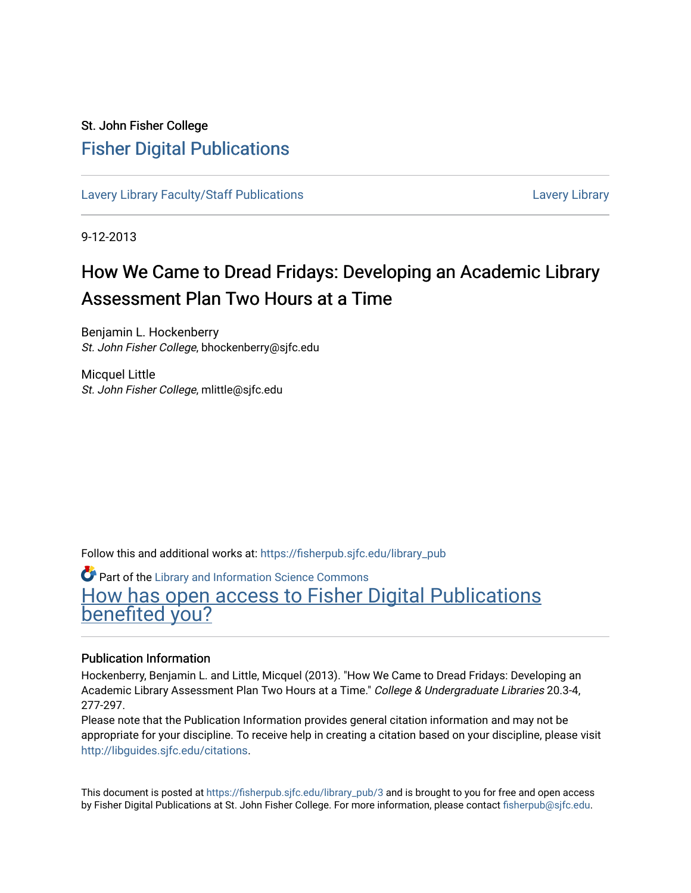## St. John Fisher College [Fisher Digital Publications](https://fisherpub.sjfc.edu/)

[Lavery Library Faculty/Staff Publications](https://fisherpub.sjfc.edu/library_pub) **Latter Controllery Library Library** Lavery Library

9-12-2013

# How We Came to Dread Fridays: Developing an Academic Library Assessment Plan Two Hours at a Time

Benjamin L. Hockenberry St. John Fisher College, bhockenberry@sjfc.edu

Micquel Little St. John Fisher College, mlittle@sjfc.edu

Follow this and additional works at: [https://fisherpub.sjfc.edu/library\\_pub](https://fisherpub.sjfc.edu/library_pub?utm_source=fisherpub.sjfc.edu%2Flibrary_pub%2F3&utm_medium=PDF&utm_campaign=PDFCoverPages)

Part of the [Library and Information Science Commons](http://network.bepress.com/hgg/discipline/1018?utm_source=fisherpub.sjfc.edu%2Flibrary_pub%2F3&utm_medium=PDF&utm_campaign=PDFCoverPages) 

[How has open access to Fisher Digital Publications](https://docs.google.com/forms/d/14zrnDfH9d1wcdq8oG_-gFabAsxfcH5claltx85ZWyTg/viewform?entry.1394608989=https://fisherpub.sjfc.edu/library_pub/3%3Chttps://docs.google.com/forms/d/14zrnDfH9d1wcdq8oG_-gFabAsxfcH5claltx85ZWyTg/viewform?entry.1394608989=%7bhttps://fisherpub.sjfc.edu/library_pub/3%7d) [benefited you?](https://docs.google.com/forms/d/14zrnDfH9d1wcdq8oG_-gFabAsxfcH5claltx85ZWyTg/viewform?entry.1394608989=https://fisherpub.sjfc.edu/library_pub/3%3Chttps://docs.google.com/forms/d/14zrnDfH9d1wcdq8oG_-gFabAsxfcH5claltx85ZWyTg/viewform?entry.1394608989=%7bhttps://fisherpub.sjfc.edu/library_pub/3%7d)

#### Publication Information

Hockenberry, Benjamin L. and Little, Micquel (2013). "How We Came to Dread Fridays: Developing an Academic Library Assessment Plan Two Hours at a Time." College & Undergraduate Libraries 20.3-4, 277-297.

Please note that the Publication Information provides general citation information and may not be appropriate for your discipline. To receive help in creating a citation based on your discipline, please visit [http://libguides.sjfc.edu/citations.](http://libguides.sjfc.edu/citations)

This document is posted at [https://fisherpub.sjfc.edu/library\\_pub/3](https://fisherpub.sjfc.edu/library_pub/3) and is brought to you for free and open access by Fisher Digital Publications at St. John Fisher College. For more information, please contact [fisherpub@sjfc.edu](mailto:fisherpub@sjfc.edu).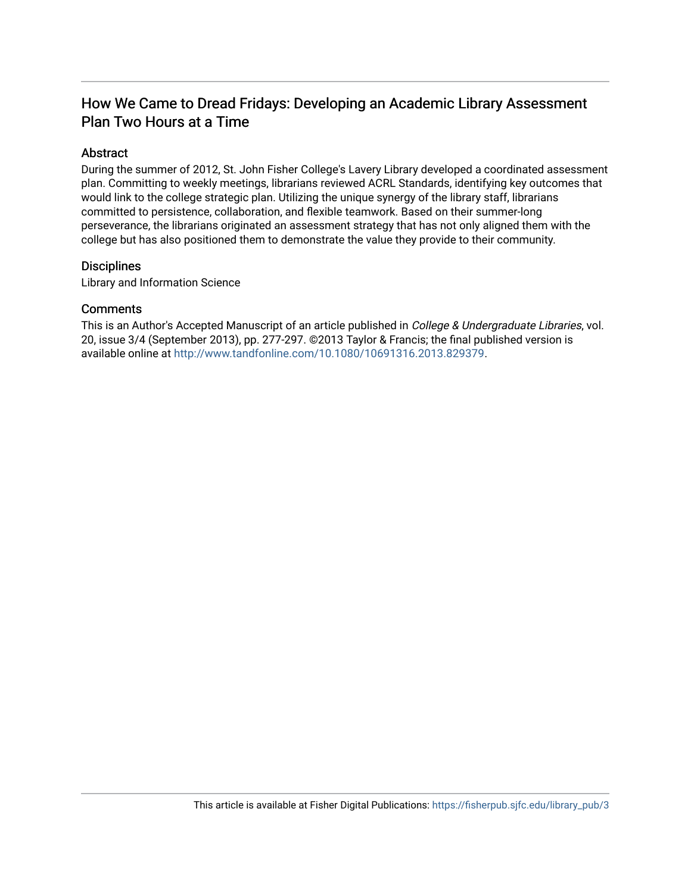## How We Came to Dread Fridays: Developing an Academic Library Assessment Plan Two Hours at a Time

### Abstract

During the summer of 2012, St. John Fisher College's Lavery Library developed a coordinated assessment plan. Committing to weekly meetings, librarians reviewed ACRL Standards, identifying key outcomes that would link to the college strategic plan. Utilizing the unique synergy of the library staff, librarians committed to persistence, collaboration, and flexible teamwork. Based on their summer-long perseverance, the librarians originated an assessment strategy that has not only aligned them with the college but has also positioned them to demonstrate the value they provide to their community.

#### **Disciplines**

Library and Information Science

#### **Comments**

This is an Author's Accepted Manuscript of an article published in College & Undergraduate Libraries, vol. 20, issue 3/4 (September 2013), pp. 277-297. ©2013 Taylor & Francis; the final published version is available online at<http://www.tandfonline.com/10.1080/10691316.2013.829379>.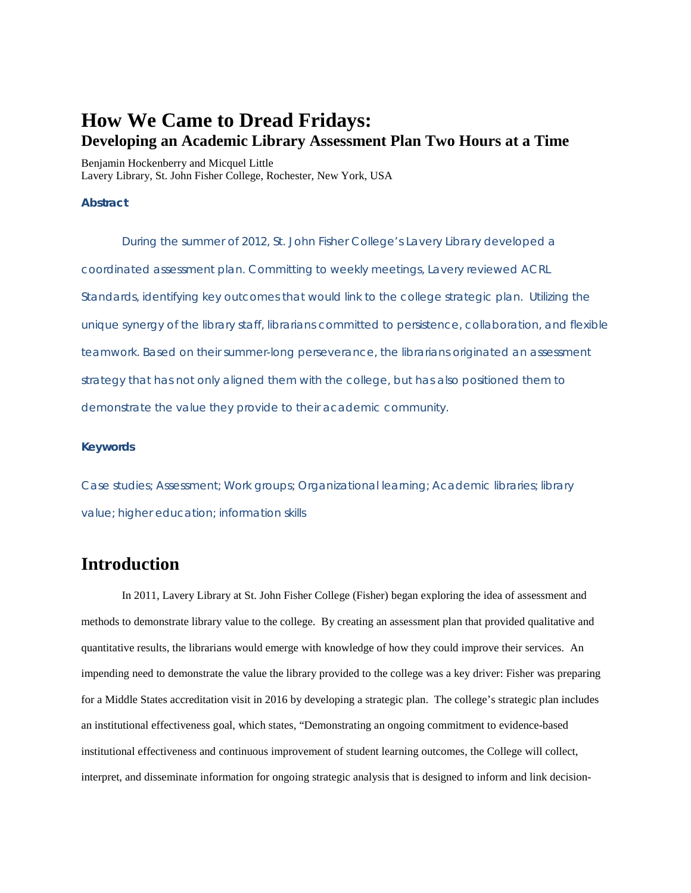## **How We Came to Dread Fridays: Developing an Academic Library Assessment Plan Two Hours at a Time**

Benjamin Hockenberry and Micquel Little Lavery Library, St. John Fisher College, Rochester, New York, USA

#### **Abstract**

During the summer of 2012, St. John Fisher College's Lavery Library developed a coordinated assessment plan. Committing to weekly meetings, Lavery reviewed ACRL Standards, identifying key outcomes that would link to the college strategic plan. Utilizing the unique synergy of the library staff, librarians committed to persistence, collaboration, and flexible teamwork. Based on their summer-long perseverance, the librarians originated an assessment strategy that has not only aligned them with the college, but has also positioned them to demonstrate the value they provide to their academic community.

#### **Keywords**

Case studies; Assessment; Work groups; Organizational learning; Academic libraries; library value; higher education; information skills

## **Introduction**

In 2011, Lavery Library at St. John Fisher College (Fisher) began exploring the idea of assessment and methods to demonstrate library value to the college. By creating an assessment plan that provided qualitative and quantitative results, the librarians would emerge with knowledge of how they could improve their services. An impending need to demonstrate the value the library provided to the college was a key driver: Fisher was preparing for a Middle States accreditation visit in 2016 by developing a strategic plan. The college's strategic plan includes an institutional effectiveness goal, which states, "Demonstrating an ongoing commitment to evidence-based institutional effectiveness and continuous improvement of student learning outcomes, the College will collect, interpret, and disseminate information for ongoing strategic analysis that is designed to inform and link decision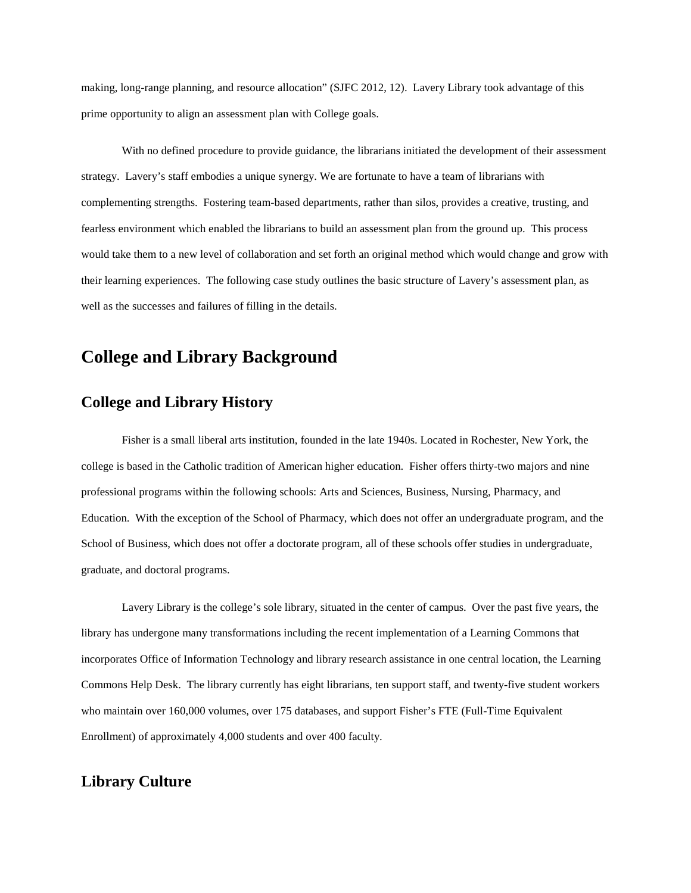making, long-range planning, and resource allocation" (SJFC 2012, 12). Lavery Library took advantage of this prime opportunity to align an assessment plan with College goals.

With no defined procedure to provide guidance, the librarians initiated the development of their assessment strategy. Lavery's staff embodies a unique synergy. We are fortunate to have a team of librarians with complementing strengths. Fostering team-based departments, rather than silos, provides a creative, trusting, and fearless environment which enabled the librarians to build an assessment plan from the ground up. This process would take them to a new level of collaboration and set forth an original method which would change and grow with their learning experiences. The following case study outlines the basic structure of Lavery's assessment plan, as well as the successes and failures of filling in the details.

## **College and Library Background**

### **College and Library History**

Fisher is a small liberal arts institution, founded in the late 1940s. Located in Rochester, New York, the college is based in the Catholic tradition of American higher education. Fisher offers thirty-two majors and nine professional programs within the following schools: Arts and Sciences, Business, Nursing, Pharmacy, and Education. With the exception of the School of Pharmacy, which does not offer an undergraduate program, and the School of Business, which does not offer a doctorate program, all of these schools offer studies in undergraduate, graduate, and doctoral programs.

Lavery Library is the college's sole library, situated in the center of campus. Over the past five years, the library has undergone many transformations including the recent implementation of a Learning Commons that incorporates Office of Information Technology and library research assistance in one central location, the Learning Commons Help Desk. The library currently has eight librarians, ten support staff, and twenty-five student workers who maintain over 160,000 volumes, over 175 databases, and support Fisher's FTE (Full-Time Equivalent Enrollment) of approximately 4,000 students and over 400 faculty.

### **Library Culture**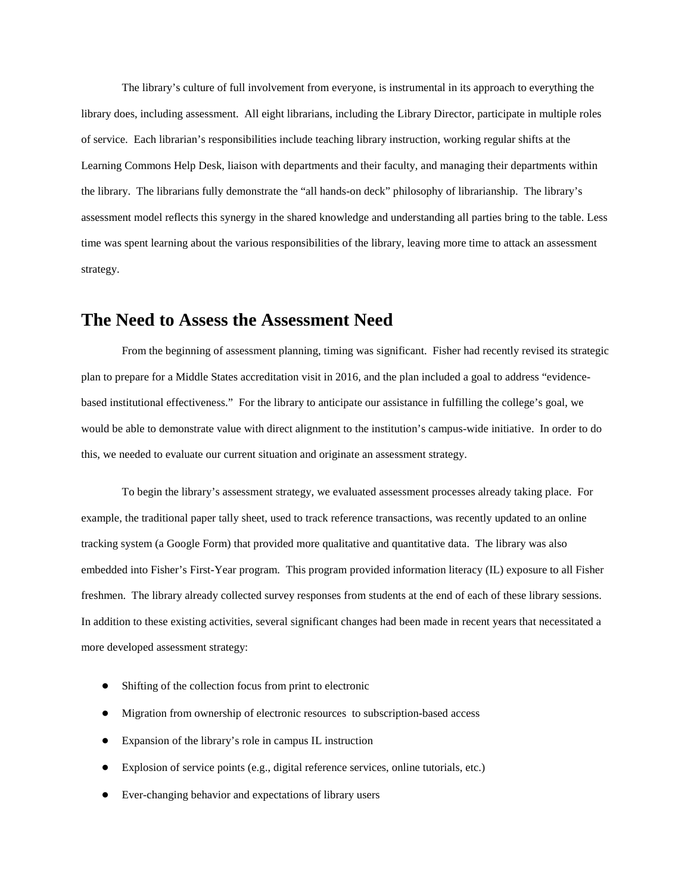The library's culture of full involvement from everyone, is instrumental in its approach to everything the library does, including assessment. All eight librarians, including the Library Director, participate in multiple roles of service. Each librarian's responsibilities include teaching library instruction, working regular shifts at the Learning Commons Help Desk, liaison with departments and their faculty, and managing their departments within the library. The librarians fully demonstrate the "all hands-on deck" philosophy of librarianship. The library's assessment model reflects this synergy in the shared knowledge and understanding all parties bring to the table. Less time was spent learning about the various responsibilities of the library, leaving more time to attack an assessment strategy.

### **The Need to Assess the Assessment Need**

From the beginning of assessment planning, timing was significant. Fisher had recently revised its strategic plan to prepare for a Middle States accreditation visit in 2016, and the plan included a goal to address "evidencebased institutional effectiveness." For the library to anticipate our assistance in fulfilling the college's goal, we would be able to demonstrate value with direct alignment to the institution's campus-wide initiative. In order to do this, we needed to evaluate our current situation and originate an assessment strategy.

To begin the library's assessment strategy, we evaluated assessment processes already taking place. For example, the traditional paper tally sheet, used to track reference transactions, was recently updated to an online tracking system (a Google Form) that provided more qualitative and quantitative data. The library was also embedded into Fisher's First-Year program. This program provided information literacy (IL) exposure to all Fisher freshmen. The library already collected survey responses from students at the end of each of these library sessions. In addition to these existing activities, several significant changes had been made in recent years that necessitated a more developed assessment strategy:

- Shifting of the collection focus from print to electronic
- Migration from ownership of electronic resources to subscription-based access
- Expansion of the library's role in campus IL instruction
- Explosion of service points (e.g., digital reference services, online tutorials, etc.)
- Ever-changing behavior and expectations of library users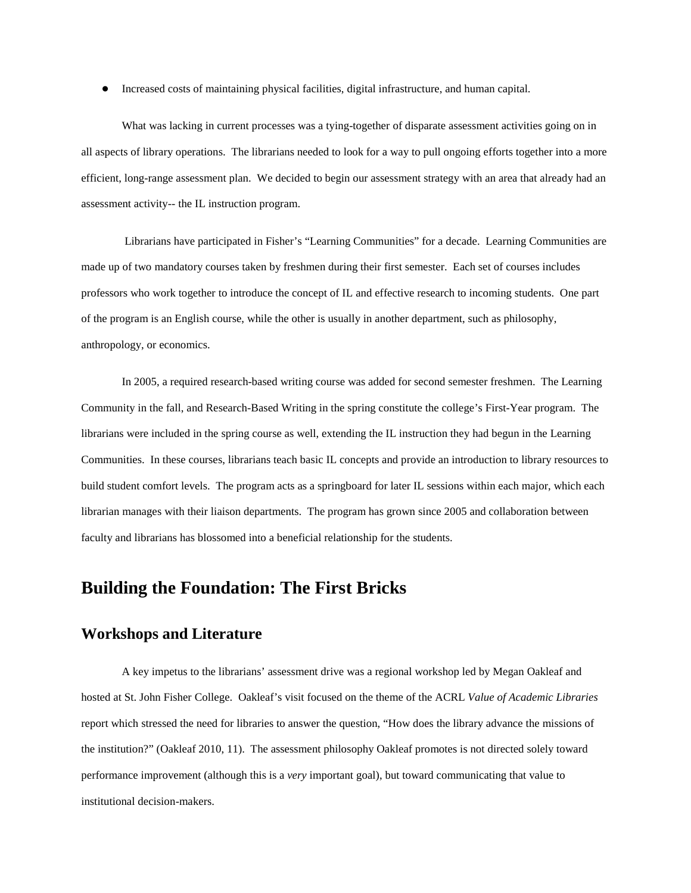● Increased costs of maintaining physical facilities, digital infrastructure, and human capital.

What was lacking in current processes was a tying-together of disparate assessment activities going on in all aspects of library operations. The librarians needed to look for a way to pull ongoing efforts together into a more efficient, long-range assessment plan. We decided to begin our assessment strategy with an area that already had an assessment activity-- the IL instruction program.

Librarians have participated in Fisher's "Learning Communities" for a decade. Learning Communities are made up of two mandatory courses taken by freshmen during their first semester. Each set of courses includes professors who work together to introduce the concept of IL and effective research to incoming students. One part of the program is an English course, while the other is usually in another department, such as philosophy, anthropology, or economics.

In 2005, a required research-based writing course was added for second semester freshmen. The Learning Community in the fall, and Research-Based Writing in the spring constitute the college's First-Year program. The librarians were included in the spring course as well, extending the IL instruction they had begun in the Learning Communities. In these courses, librarians teach basic IL concepts and provide an introduction to library resources to build student comfort levels. The program acts as a springboard for later IL sessions within each major, which each librarian manages with their liaison departments. The program has grown since 2005 and collaboration between faculty and librarians has blossomed into a beneficial relationship for the students.

### **Building the Foundation: The First Bricks**

### **Workshops and Literature**

A key impetus to the librarians' assessment drive was a regional workshop led by Megan Oakleaf and hosted at St. John Fisher College. Oakleaf's visit focused on the theme of the ACRL *Value of Academic Libraries*  report which stressed the need for libraries to answer the question, "How does the library advance the missions of the institution?" (Oakleaf 2010, 11). The assessment philosophy Oakleaf promotes is not directed solely toward performance improvement (although this is a *very* important goal), but toward communicating that value to institutional decision-makers.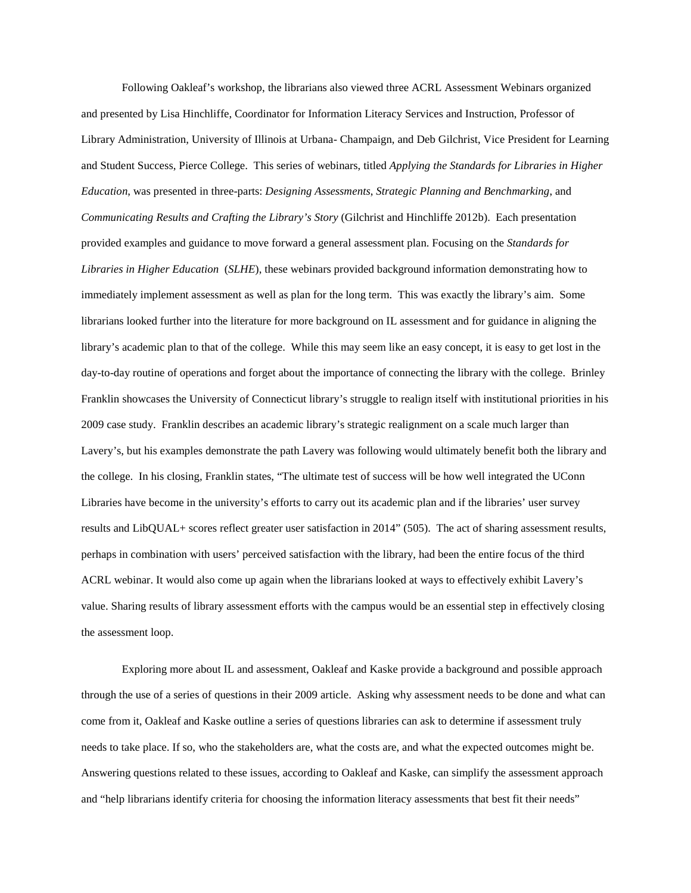Following Oakleaf's workshop, the librarians also viewed three ACRL Assessment Webinars organized and presented by Lisa Hinchliffe, Coordinator for Information Literacy Services and Instruction, Professor of Library Administration, University of Illinois at Urbana- Champaign, and Deb Gilchrist, Vice President for Learning and Student Success, Pierce College. This series of webinars, titled *Applying the Standards for Libraries in Higher Education*, was presented in three-parts: *Designing Assessments*, *Strategic Planning and Benchmarking*, and *Communicating Results and Crafting the Library's Story* (Gilchrist and Hinchliffe 2012b). Each presentation provided examples and guidance to move forward a general assessment plan. Focusing on the *Standards for Libraries in Higher Education* (*SLHE*), these webinars provided background information demonstrating how to immediately implement assessment as well as plan for the long term. This was exactly the library's aim. Some librarians looked further into the literature for more background on IL assessment and for guidance in aligning the library's academic plan to that of the college. While this may seem like an easy concept, it is easy to get lost in the day-to-day routine of operations and forget about the importance of connecting the library with the college. Brinley Franklin showcases the University of Connecticut library's struggle to realign itself with institutional priorities in his 2009 case study. Franklin describes an academic library's strategic realignment on a scale much larger than Lavery's, but his examples demonstrate the path Lavery was following would ultimately benefit both the library and the college. In his closing, Franklin states, "The ultimate test of success will be how well integrated the UConn Libraries have become in the university's efforts to carry out its academic plan and if the libraries' user survey results and LibQUAL+ scores reflect greater user satisfaction in 2014" (505). The act of sharing assessment results, perhaps in combination with users' perceived satisfaction with the library, had been the entire focus of the third ACRL webinar. It would also come up again when the librarians looked at ways to effectively exhibit Lavery's value. Sharing results of library assessment efforts with the campus would be an essential step in effectively closing the assessment loop.

Exploring more about IL and assessment, Oakleaf and Kaske provide a background and possible approach through the use of a series of questions in their 2009 article. Asking why assessment needs to be done and what can come from it, Oakleaf and Kaske outline a series of questions libraries can ask to determine if assessment truly needs to take place. If so, who the stakeholders are, what the costs are, and what the expected outcomes might be. Answering questions related to these issues, according to Oakleaf and Kaske, can simplify the assessment approach and "help librarians identify criteria for choosing the information literacy assessments that best fit their needs"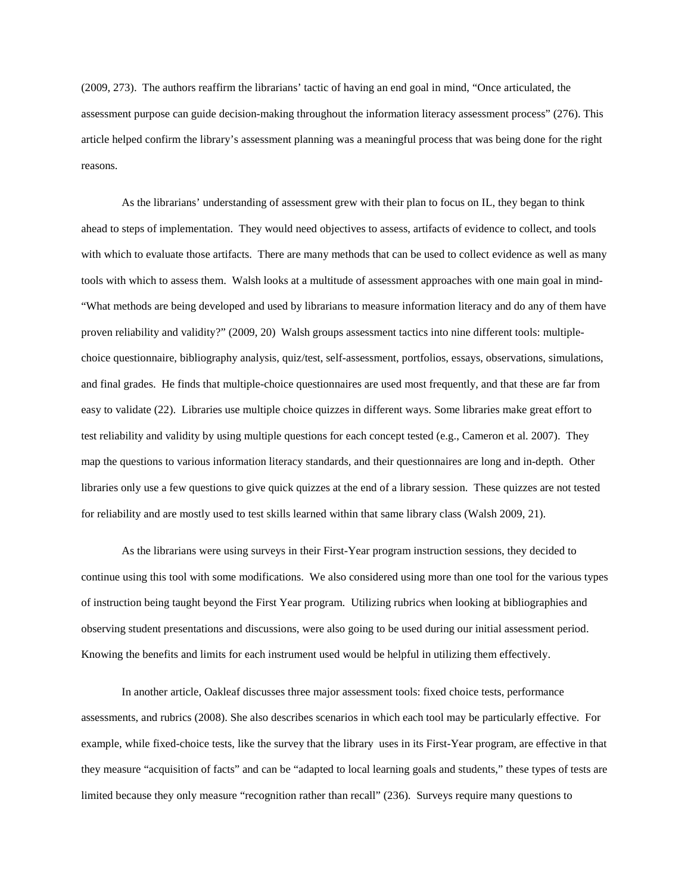(2009, 273). The authors reaffirm the librarians' tactic of having an end goal in mind, "Once articulated, the assessment purpose can guide decision-making throughout the information literacy assessment process" (276). This article helped confirm the library's assessment planning was a meaningful process that was being done for the right reasons.

As the librarians' understanding of assessment grew with their plan to focus on IL, they began to think ahead to steps of implementation. They would need objectives to assess, artifacts of evidence to collect, and tools with which to evaluate those artifacts. There are many methods that can be used to collect evidence as well as many tools with which to assess them. Walsh looks at a multitude of assessment approaches with one main goal in mind- "What methods are being developed and used by librarians to measure information literacy and do any of them have proven reliability and validity?" (2009, 20) Walsh groups assessment tactics into nine different tools: multiplechoice questionnaire, bibliography analysis, quiz/test, self-assessment, portfolios, essays, observations, simulations, and final grades. He finds that multiple-choice questionnaires are used most frequently, and that these are far from easy to validate (22). Libraries use multiple choice quizzes in different ways. Some libraries make great effort to test reliability and validity by using multiple questions for each concept tested (e.g., Cameron et al. 2007). They map the questions to various information literacy standards, and their questionnaires are long and in-depth. Other libraries only use a few questions to give quick quizzes at the end of a library session. These quizzes are not tested for reliability and are mostly used to test skills learned within that same library class (Walsh 2009, 21).

As the librarians were using surveys in their First-Year program instruction sessions, they decided to continue using this tool with some modifications. We also considered using more than one tool for the various types of instruction being taught beyond the First Year program. Utilizing rubrics when looking at bibliographies and observing student presentations and discussions, were also going to be used during our initial assessment period. Knowing the benefits and limits for each instrument used would be helpful in utilizing them effectively.

In another article, Oakleaf discusses three major assessment tools: fixed choice tests, performance assessments, and rubrics (2008). She also describes scenarios in which each tool may be particularly effective. For example, while fixed-choice tests, like the survey that the library uses in its First-Year program, are effective in that they measure "acquisition of facts" and can be "adapted to local learning goals and students," these types of tests are limited because they only measure "recognition rather than recall" (236). Surveys require many questions to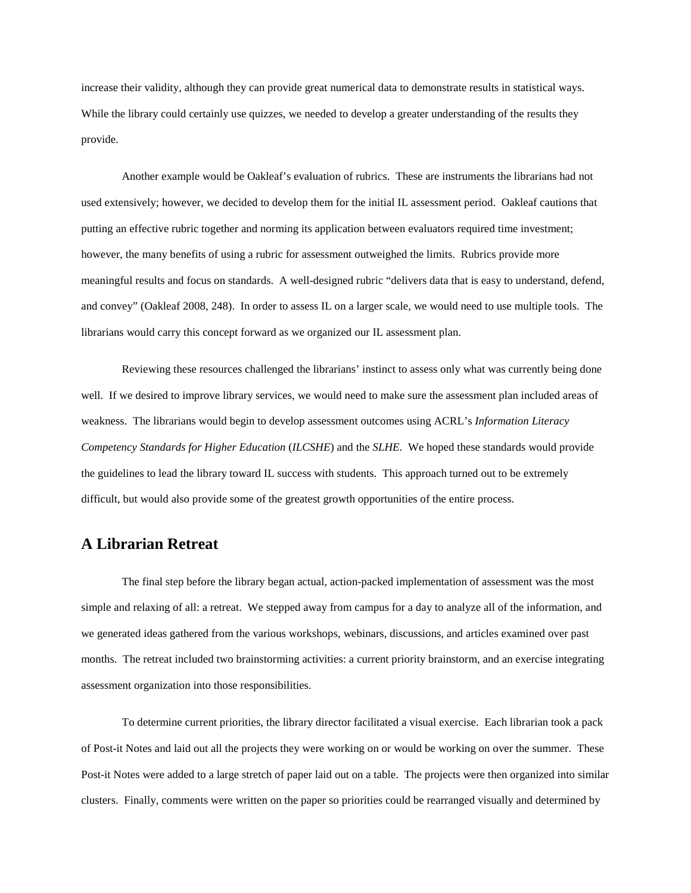increase their validity, although they can provide great numerical data to demonstrate results in statistical ways. While the library could certainly use quizzes, we needed to develop a greater understanding of the results they provide.

Another example would be Oakleaf's evaluation of rubrics. These are instruments the librarians had not used extensively; however, we decided to develop them for the initial IL assessment period. Oakleaf cautions that putting an effective rubric together and norming its application between evaluators required time investment; however, the many benefits of using a rubric for assessment outweighed the limits. Rubrics provide more meaningful results and focus on standards. A well-designed rubric "delivers data that is easy to understand, defend, and convey" (Oakleaf 2008, 248). In order to assess IL on a larger scale, we would need to use multiple tools. The librarians would carry this concept forward as we organized our IL assessment plan.

Reviewing these resources challenged the librarians' instinct to assess only what was currently being done well. If we desired to improve library services, we would need to make sure the assessment plan included areas of weakness. The librarians would begin to develop assessment outcomes using ACRL's *Information Literacy Competency Standards for Higher Education* (*ILCSHE*) and the *SLHE*. We hoped these standards would provide the guidelines to lead the library toward IL success with students. This approach turned out to be extremely difficult, but would also provide some of the greatest growth opportunities of the entire process.

#### **A Librarian Retreat**

The final step before the library began actual, action-packed implementation of assessment was the most simple and relaxing of all: a retreat. We stepped away from campus for a day to analyze all of the information, and we generated ideas gathered from the various workshops, webinars, discussions, and articles examined over past months. The retreat included two brainstorming activities: a current priority brainstorm, and an exercise integrating assessment organization into those responsibilities.

To determine current priorities, the library director facilitated a visual exercise. Each librarian took a pack of Post-it Notes and laid out all the projects they were working on or would be working on over the summer. These Post-it Notes were added to a large stretch of paper laid out on a table. The projects were then organized into similar clusters. Finally, comments were written on the paper so priorities could be rearranged visually and determined by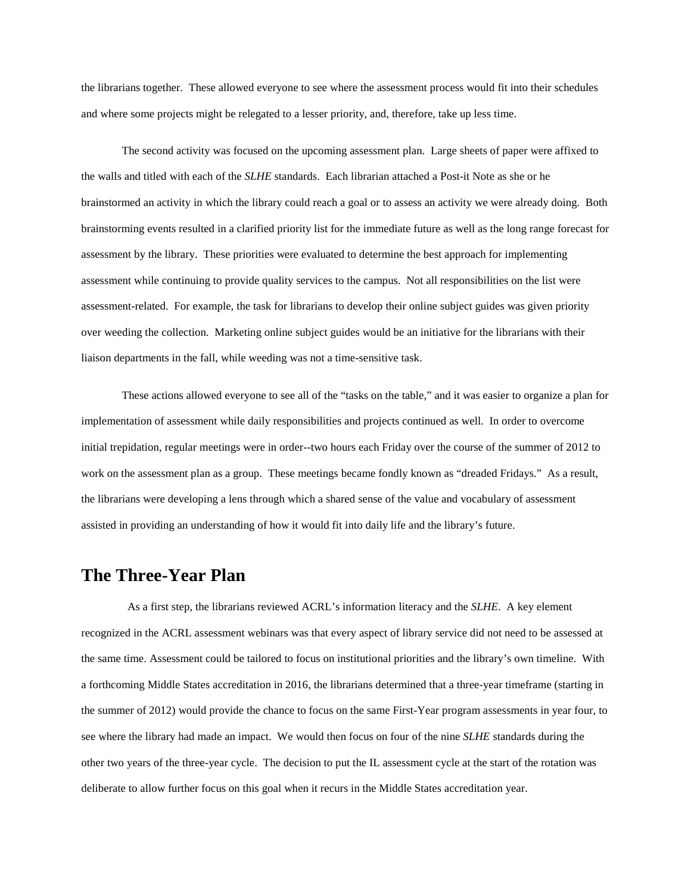the librarians together. These allowed everyone to see where the assessment process would fit into their schedules and where some projects might be relegated to a lesser priority, and, therefore, take up less time.

The second activity was focused on the upcoming assessment plan. Large sheets of paper were affixed to the walls and titled with each of the *SLHE* standards. Each librarian attached a Post-it Note as she or he brainstormed an activity in which the library could reach a goal or to assess an activity we were already doing. Both brainstorming events resulted in a clarified priority list for the immediate future as well as the long range forecast for assessment by the library. These priorities were evaluated to determine the best approach for implementing assessment while continuing to provide quality services to the campus. Not all responsibilities on the list were assessment-related. For example, the task for librarians to develop their online subject guides was given priority over weeding the collection. Marketing online subject guides would be an initiative for the librarians with their liaison departments in the fall, while weeding was not a time-sensitive task.

These actions allowed everyone to see all of the "tasks on the table," and it was easier to organize a plan for implementation of assessment while daily responsibilities and projects continued as well. In order to overcome initial trepidation, regular meetings were in order--two hours each Friday over the course of the summer of 2012 to work on the assessment plan as a group. These meetings became fondly known as "dreaded Fridays." As a result, the librarians were developing a lens through which a shared sense of the value and vocabulary of assessment assisted in providing an understanding of how it would fit into daily life and the library's future.

### **The Three-Year Plan**

 As a first step, the librarians reviewed ACRL's information literacy and the *SLHE*. A key element recognized in the ACRL assessment webinars was that every aspect of library service did not need to be assessed at the same time. Assessment could be tailored to focus on institutional priorities and the library's own timeline. With a forthcoming Middle States accreditation in 2016, the librarians determined that a three-year timeframe (starting in the summer of 2012) would provide the chance to focus on the same First-Year program assessments in year four, to see where the library had made an impact. We would then focus on four of the nine *SLHE* standards during the other two years of the three-year cycle. The decision to put the IL assessment cycle at the start of the rotation was deliberate to allow further focus on this goal when it recurs in the Middle States accreditation year.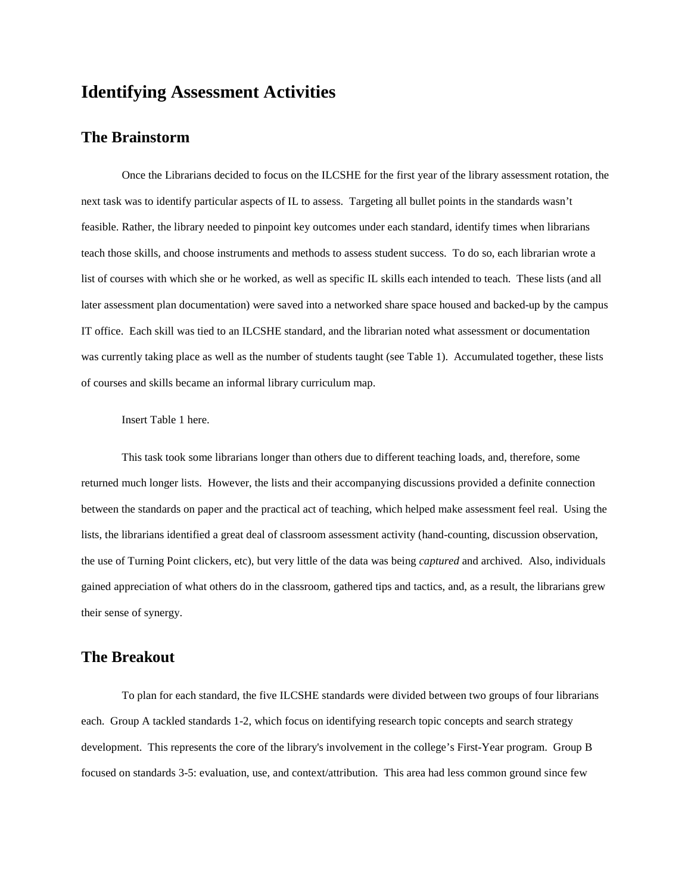## **Identifying Assessment Activities**

### **The Brainstorm**

Once the Librarians decided to focus on the ILCSHE for the first year of the library assessment rotation, the next task was to identify particular aspects of IL to assess. Targeting all bullet points in the standards wasn't feasible. Rather, the library needed to pinpoint key outcomes under each standard, identify times when librarians teach those skills, and choose instruments and methods to assess student success. To do so, each librarian wrote a list of courses with which she or he worked, as well as specific IL skills each intended to teach. These lists (and all later assessment plan documentation) were saved into a networked share space housed and backed-up by the campus IT office. Each skill was tied to an ILCSHE standard, and the librarian noted what assessment or documentation was currently taking place as well as the number of students taught (see Table 1). Accumulated together, these lists of courses and skills became an informal library curriculum map.

Insert Table 1 here.

This task took some librarians longer than others due to different teaching loads, and, therefore, some returned much longer lists. However, the lists and their accompanying discussions provided a definite connection between the standards on paper and the practical act of teaching, which helped make assessment feel real. Using the lists, the librarians identified a great deal of classroom assessment activity (hand-counting, discussion observation, the use of Turning Point clickers, etc), but very little of the data was being *captured* and archived. Also, individuals gained appreciation of what others do in the classroom, gathered tips and tactics, and, as a result, the librarians grew their sense of synergy.

### **The Breakout**

To plan for each standard, the five ILCSHE standards were divided between two groups of four librarians each. Group A tackled standards 1-2, which focus on identifying research topic concepts and search strategy development. This represents the core of the library's involvement in the college's First-Year program. Group B focused on standards 3-5: evaluation, use, and context/attribution. This area had less common ground since few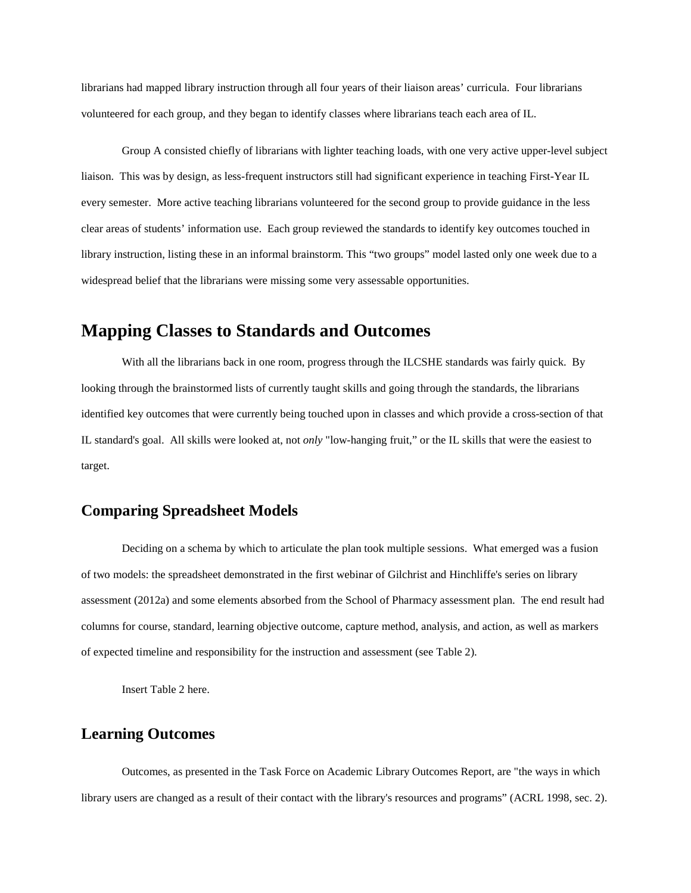librarians had mapped library instruction through all four years of their liaison areas' curricula. Four librarians volunteered for each group, and they began to identify classes where librarians teach each area of IL.

Group A consisted chiefly of librarians with lighter teaching loads, with one very active upper-level subject liaison. This was by design, as less-frequent instructors still had significant experience in teaching First-Year IL every semester. More active teaching librarians volunteered for the second group to provide guidance in the less clear areas of students' information use. Each group reviewed the standards to identify key outcomes touched in library instruction, listing these in an informal brainstorm. This "two groups" model lasted only one week due to a widespread belief that the librarians were missing some very assessable opportunities.

## **Mapping Classes to Standards and Outcomes**

With all the librarians back in one room, progress through the ILCSHE standards was fairly quick. By looking through the brainstormed lists of currently taught skills and going through the standards, the librarians identified key outcomes that were currently being touched upon in classes and which provide a cross-section of that IL standard's goal. All skills were looked at, not *only* "low-hanging fruit," or the IL skills that were the easiest to target.

### **Comparing Spreadsheet Models**

Deciding on a schema by which to articulate the plan took multiple sessions. What emerged was a fusion of two models: the spreadsheet demonstrated in the first webinar of Gilchrist and Hinchliffe's series on library assessment (2012a) and some elements absorbed from the School of Pharmacy assessment plan. The end result had columns for course, standard, learning objective outcome, capture method, analysis, and action, as well as markers of expected timeline and responsibility for the instruction and assessment (see Table 2).

Insert Table 2 here.

### **Learning Outcomes**

Outcomes, as presented in the Task Force on Academic Library Outcomes Report, are "the ways in which library users are changed as a result of their contact with the library's resources and programs" (ACRL 1998, sec. 2).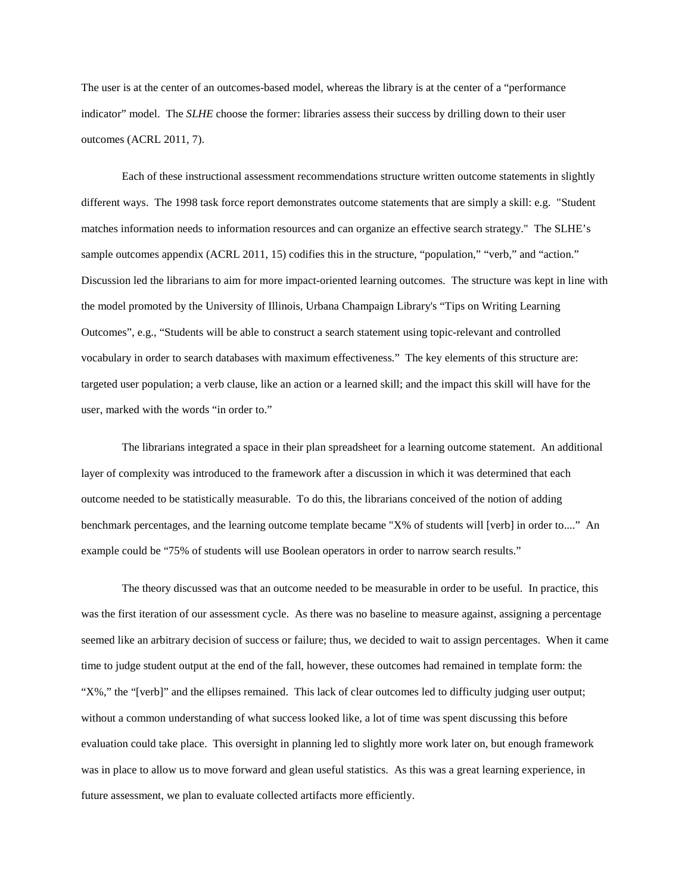The user is at the center of an outcomes-based model, whereas the library is at the center of a "performance indicator" model. The *SLHE* choose the former: libraries assess their success by drilling down to their user outcomes (ACRL 2011, 7).

Each of these instructional assessment recommendations structure written outcome statements in slightly different ways. The 1998 task force report demonstrates outcome statements that are simply a skill: e.g. "Student matches information needs to information resources and can organize an effective search strategy." The SLHE's sample outcomes appendix (ACRL 2011, 15) codifies this in the structure, "population," "verb," and "action." Discussion led the librarians to aim for more impact-oriented learning outcomes. The structure was kept in line with the model promoted by the University of Illinois, Urbana Champaign Library's "Tips on Writing Learning Outcomes", e.g., "Students will be able to construct a search statement using topic-relevant and controlled vocabulary in order to search databases with maximum effectiveness." The key elements of this structure are: targeted user population; a verb clause, like an action or a learned skill; and the impact this skill will have for the user, marked with the words "in order to."

The librarians integrated a space in their plan spreadsheet for a learning outcome statement. An additional layer of complexity was introduced to the framework after a discussion in which it was determined that each outcome needed to be statistically measurable. To do this, the librarians conceived of the notion of adding benchmark percentages, and the learning outcome template became "X% of students will [verb] in order to...." An example could be "75% of students will use Boolean operators in order to narrow search results."

The theory discussed was that an outcome needed to be measurable in order to be useful. In practice, this was the first iteration of our assessment cycle. As there was no baseline to measure against, assigning a percentage seemed like an arbitrary decision of success or failure; thus, we decided to wait to assign percentages. When it came time to judge student output at the end of the fall, however, these outcomes had remained in template form: the "X%," the "[verb]" and the ellipses remained. This lack of clear outcomes led to difficulty judging user output; without a common understanding of what success looked like, a lot of time was spent discussing this before evaluation could take place. This oversight in planning led to slightly more work later on, but enough framework was in place to allow us to move forward and glean useful statistics. As this was a great learning experience, in future assessment, we plan to evaluate collected artifacts more efficiently.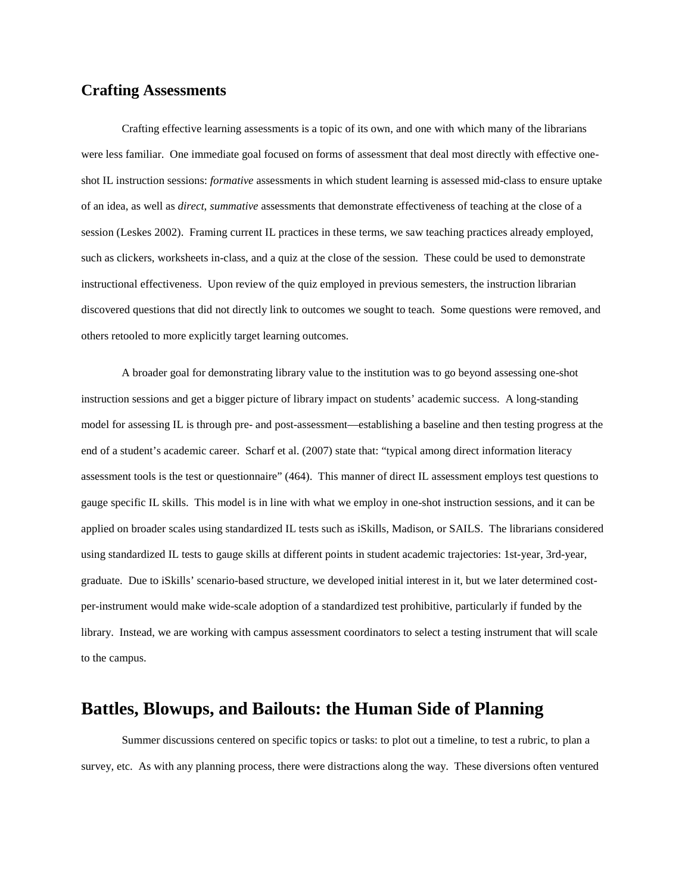### **Crafting Assessments**

Crafting effective learning assessments is a topic of its own, and one with which many of the librarians were less familiar. One immediate goal focused on forms of assessment that deal most directly with effective oneshot IL instruction sessions: *formative* assessments in which student learning is assessed mid-class to ensure uptake of an idea, as well as *direct*, *summative* assessments that demonstrate effectiveness of teaching at the close of a session (Leskes 2002). Framing current IL practices in these terms, we saw teaching practices already employed, such as clickers, worksheets in-class, and a quiz at the close of the session. These could be used to demonstrate instructional effectiveness. Upon review of the quiz employed in previous semesters, the instruction librarian discovered questions that did not directly link to outcomes we sought to teach. Some questions were removed, and others retooled to more explicitly target learning outcomes.

A broader goal for demonstrating library value to the institution was to go beyond assessing one-shot instruction sessions and get a bigger picture of library impact on students' academic success. A long-standing model for assessing IL is through pre- and post-assessment—establishing a baseline and then testing progress at the end of a student's academic career. Scharf et al. (2007) state that: "typical among direct information literacy assessment tools is the test or questionnaire" (464). This manner of direct IL assessment employs test questions to gauge specific IL skills. This model is in line with what we employ in one-shot instruction sessions, and it can be applied on broader scales using standardized IL tests such as iSkills, Madison, or SAILS. The librarians considered using standardized IL tests to gauge skills at different points in student academic trajectories: 1st-year, 3rd-year, graduate. Due to iSkills' scenario-based structure, we developed initial interest in it, but we later determined costper-instrument would make wide-scale adoption of a standardized test prohibitive, particularly if funded by the library. Instead, we are working with campus assessment coordinators to select a testing instrument that will scale to the campus.

## **Battles, Blowups, and Bailouts: the Human Side of Planning**

Summer discussions centered on specific topics or tasks: to plot out a timeline, to test a rubric, to plan a survey, etc. As with any planning process, there were distractions along the way. These diversions often ventured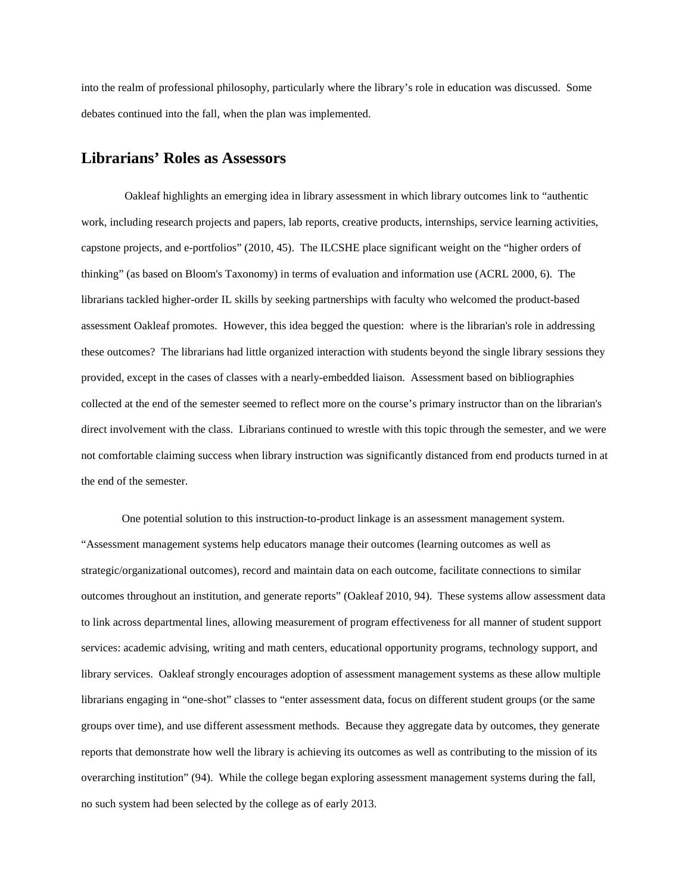into the realm of professional philosophy, particularly where the library's role in education was discussed. Some debates continued into the fall, when the plan was implemented.

### **Librarians' Roles as Assessors**

Oakleaf highlights an emerging idea in library assessment in which library outcomes link to "authentic work, including research projects and papers, lab reports, creative products, internships, service learning activities, capstone projects, and e-portfolios" (2010, 45). The ILCSHE place significant weight on the "higher orders of thinking" (as based on Bloom's Taxonomy) in terms of evaluation and information use (ACRL 2000, 6). The librarians tackled higher-order IL skills by seeking partnerships with faculty who welcomed the product-based assessment Oakleaf promotes. However, this idea begged the question: where is the librarian's role in addressing these outcomes? The librarians had little organized interaction with students beyond the single library sessions they provided, except in the cases of classes with a nearly-embedded liaison. Assessment based on bibliographies collected at the end of the semester seemed to reflect more on the course's primary instructor than on the librarian's direct involvement with the class. Librarians continued to wrestle with this topic through the semester, and we were not comfortable claiming success when library instruction was significantly distanced from end products turned in at the end of the semester.

One potential solution to this instruction-to-product linkage is an assessment management system. "Assessment management systems help educators manage their outcomes (learning outcomes as well as strategic/organizational outcomes), record and maintain data on each outcome, facilitate connections to similar outcomes throughout an institution, and generate reports" (Oakleaf 2010, 94). These systems allow assessment data to link across departmental lines, allowing measurement of program effectiveness for all manner of student support services: academic advising, writing and math centers, educational opportunity programs, technology support, and library services. Oakleaf strongly encourages adoption of assessment management systems as these allow multiple librarians engaging in "one-shot" classes to "enter assessment data, focus on different student groups (or the same groups over time), and use different assessment methods. Because they aggregate data by outcomes, they generate reports that demonstrate how well the library is achieving its outcomes as well as contributing to the mission of its overarching institution" (94). While the college began exploring assessment management systems during the fall, no such system had been selected by the college as of early 2013.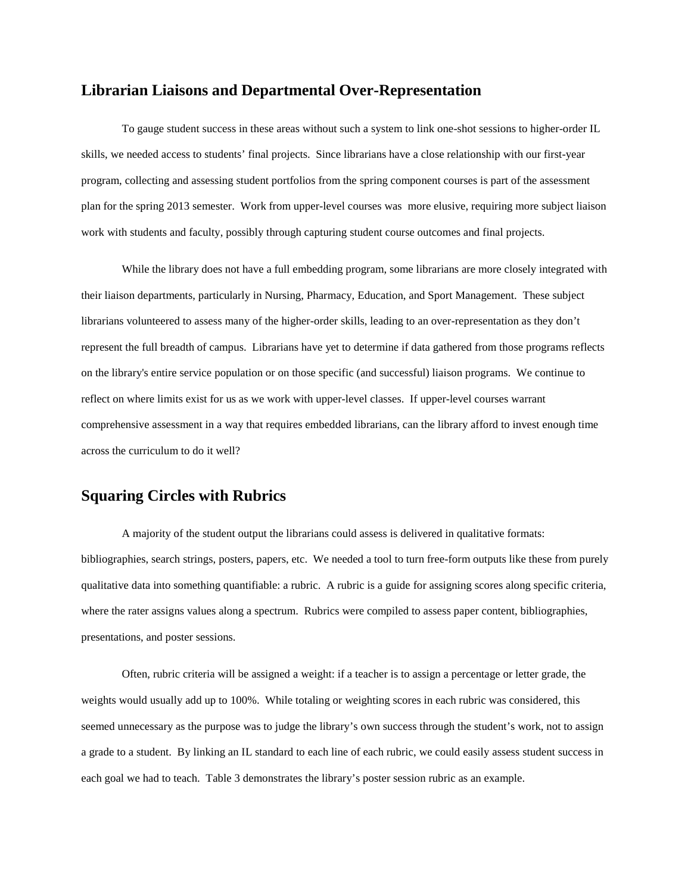#### **Librarian Liaisons and Departmental Over-Representation**

To gauge student success in these areas without such a system to link one-shot sessions to higher-order IL skills, we needed access to students' final projects. Since librarians have a close relationship with our first-year program, collecting and assessing student portfolios from the spring component courses is part of the assessment plan for the spring 2013 semester. Work from upper-level courses was more elusive, requiring more subject liaison work with students and faculty, possibly through capturing student course outcomes and final projects.

While the library does not have a full embedding program, some librarians are more closely integrated with their liaison departments, particularly in Nursing, Pharmacy, Education, and Sport Management. These subject librarians volunteered to assess many of the higher-order skills, leading to an over-representation as they don't represent the full breadth of campus. Librarians have yet to determine if data gathered from those programs reflects on the library's entire service population or on those specific (and successful) liaison programs. We continue to reflect on where limits exist for us as we work with upper-level classes. If upper-level courses warrant comprehensive assessment in a way that requires embedded librarians, can the library afford to invest enough time across the curriculum to do it well?

### **Squaring Circles with Rubrics**

A majority of the student output the librarians could assess is delivered in qualitative formats: bibliographies, search strings, posters, papers, etc. We needed a tool to turn free-form outputs like these from purely qualitative data into something quantifiable: a rubric. A rubric is a guide for assigning scores along specific criteria, where the rater assigns values along a spectrum. Rubrics were compiled to assess paper content, bibliographies, presentations, and poster sessions.

Often, rubric criteria will be assigned a weight: if a teacher is to assign a percentage or letter grade, the weights would usually add up to 100%. While totaling or weighting scores in each rubric was considered, this seemed unnecessary as the purpose was to judge the library's own success through the student's work, not to assign a grade to a student. By linking an IL standard to each line of each rubric, we could easily assess student success in each goal we had to teach. Table 3 demonstrates the library's poster session rubric as an example.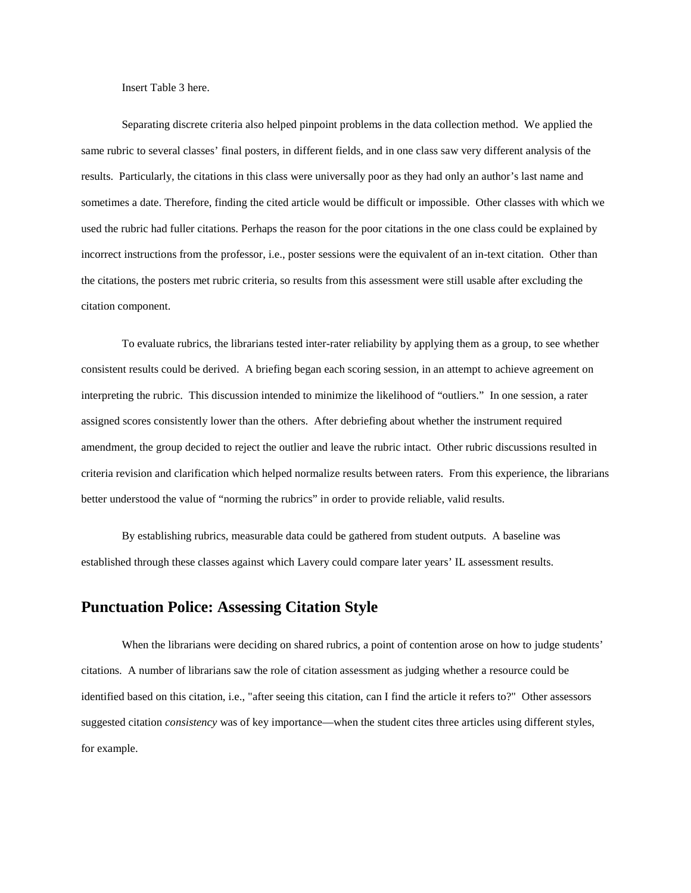Insert Table 3 here.

Separating discrete criteria also helped pinpoint problems in the data collection method. We applied the same rubric to several classes' final posters, in different fields, and in one class saw very different analysis of the results. Particularly, the citations in this class were universally poor as they had only an author's last name and sometimes a date. Therefore, finding the cited article would be difficult or impossible. Other classes with which we used the rubric had fuller citations. Perhaps the reason for the poor citations in the one class could be explained by incorrect instructions from the professor, i.e., poster sessions were the equivalent of an in-text citation. Other than the citations, the posters met rubric criteria, so results from this assessment were still usable after excluding the citation component.

To evaluate rubrics, the librarians tested inter-rater reliability by applying them as a group, to see whether consistent results could be derived. A briefing began each scoring session, in an attempt to achieve agreement on interpreting the rubric. This discussion intended to minimize the likelihood of "outliers." In one session, a rater assigned scores consistently lower than the others. After debriefing about whether the instrument required amendment, the group decided to reject the outlier and leave the rubric intact. Other rubric discussions resulted in criteria revision and clarification which helped normalize results between raters. From this experience, the librarians better understood the value of "norming the rubrics" in order to provide reliable, valid results.

By establishing rubrics, measurable data could be gathered from student outputs. A baseline was established through these classes against which Lavery could compare later years' IL assessment results.

### **Punctuation Police: Assessing Citation Style**

When the librarians were deciding on shared rubrics, a point of contention arose on how to judge students' citations. A number of librarians saw the role of citation assessment as judging whether a resource could be identified based on this citation, i.e., "after seeing this citation, can I find the article it refers to?" Other assessors suggested citation *consistency* was of key importance—when the student cites three articles using different styles, for example.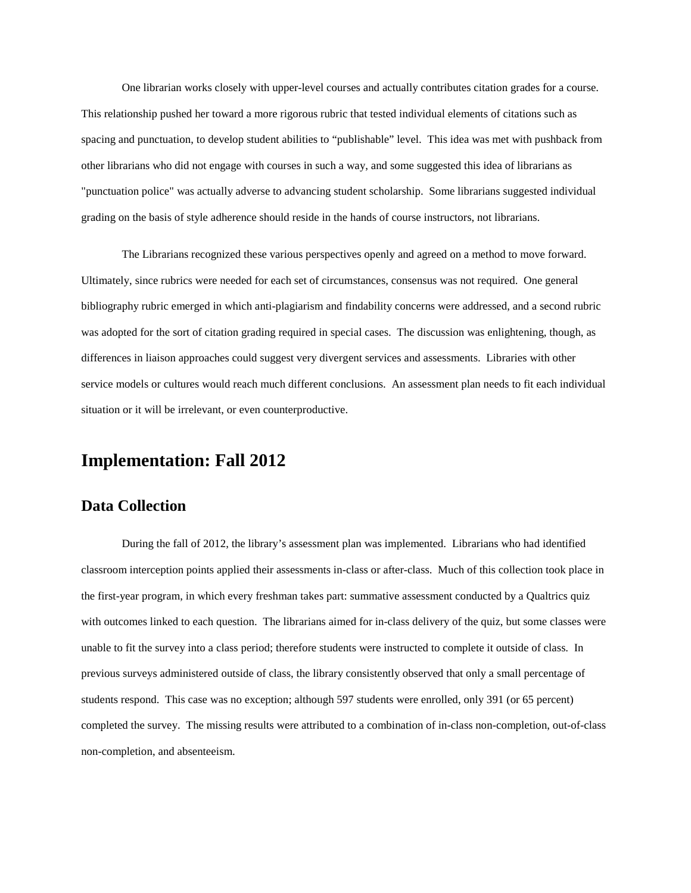One librarian works closely with upper-level courses and actually contributes citation grades for a course. This relationship pushed her toward a more rigorous rubric that tested individual elements of citations such as spacing and punctuation, to develop student abilities to "publishable" level. This idea was met with pushback from other librarians who did not engage with courses in such a way, and some suggested this idea of librarians as "punctuation police" was actually adverse to advancing student scholarship. Some librarians suggested individual grading on the basis of style adherence should reside in the hands of course instructors, not librarians.

The Librarians recognized these various perspectives openly and agreed on a method to move forward. Ultimately, since rubrics were needed for each set of circumstances, consensus was not required. One general bibliography rubric emerged in which anti-plagiarism and findability concerns were addressed, and a second rubric was adopted for the sort of citation grading required in special cases. The discussion was enlightening, though, as differences in liaison approaches could suggest very divergent services and assessments. Libraries with other service models or cultures would reach much different conclusions. An assessment plan needs to fit each individual situation or it will be irrelevant, or even counterproductive.

## **Implementation: Fall 2012**

### **Data Collection**

During the fall of 2012, the library's assessment plan was implemented. Librarians who had identified classroom interception points applied their assessments in-class or after-class. Much of this collection took place in the first-year program, in which every freshman takes part: summative assessment conducted by a Qualtrics quiz with outcomes linked to each question. The librarians aimed for in-class delivery of the quiz, but some classes were unable to fit the survey into a class period; therefore students were instructed to complete it outside of class. In previous surveys administered outside of class, the library consistently observed that only a small percentage of students respond. This case was no exception; although 597 students were enrolled, only 391 (or 65 percent) completed the survey. The missing results were attributed to a combination of in-class non-completion, out-of-class non-completion, and absenteeism.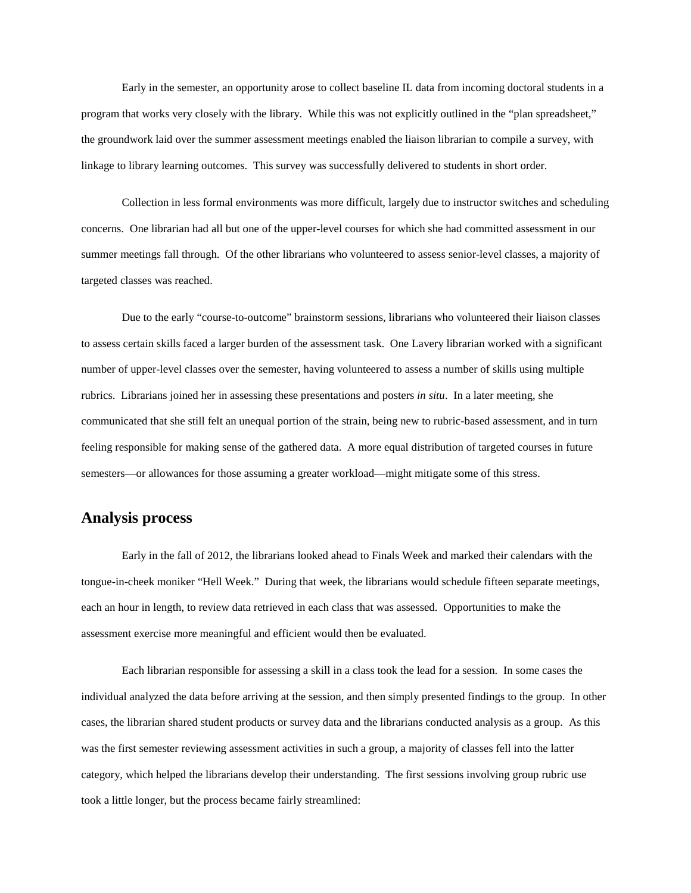Early in the semester, an opportunity arose to collect baseline IL data from incoming doctoral students in a program that works very closely with the library. While this was not explicitly outlined in the "plan spreadsheet," the groundwork laid over the summer assessment meetings enabled the liaison librarian to compile a survey, with linkage to library learning outcomes. This survey was successfully delivered to students in short order.

Collection in less formal environments was more difficult, largely due to instructor switches and scheduling concerns. One librarian had all but one of the upper-level courses for which she had committed assessment in our summer meetings fall through. Of the other librarians who volunteered to assess senior-level classes, a majority of targeted classes was reached.

Due to the early "course-to-outcome" brainstorm sessions, librarians who volunteered their liaison classes to assess certain skills faced a larger burden of the assessment task. One Lavery librarian worked with a significant number of upper-level classes over the semester, having volunteered to assess a number of skills using multiple rubrics. Librarians joined her in assessing these presentations and posters *in situ*. In a later meeting, she communicated that she still felt an unequal portion of the strain, being new to rubric-based assessment, and in turn feeling responsible for making sense of the gathered data. A more equal distribution of targeted courses in future semesters—or allowances for those assuming a greater workload—might mitigate some of this stress.

#### **Analysis process**

Early in the fall of 2012, the librarians looked ahead to Finals Week and marked their calendars with the tongue-in-cheek moniker "Hell Week." During that week, the librarians would schedule fifteen separate meetings, each an hour in length, to review data retrieved in each class that was assessed. Opportunities to make the assessment exercise more meaningful and efficient would then be evaluated.

Each librarian responsible for assessing a skill in a class took the lead for a session. In some cases the individual analyzed the data before arriving at the session, and then simply presented findings to the group. In other cases, the librarian shared student products or survey data and the librarians conducted analysis as a group. As this was the first semester reviewing assessment activities in such a group, a majority of classes fell into the latter category, which helped the librarians develop their understanding. The first sessions involving group rubric use took a little longer, but the process became fairly streamlined: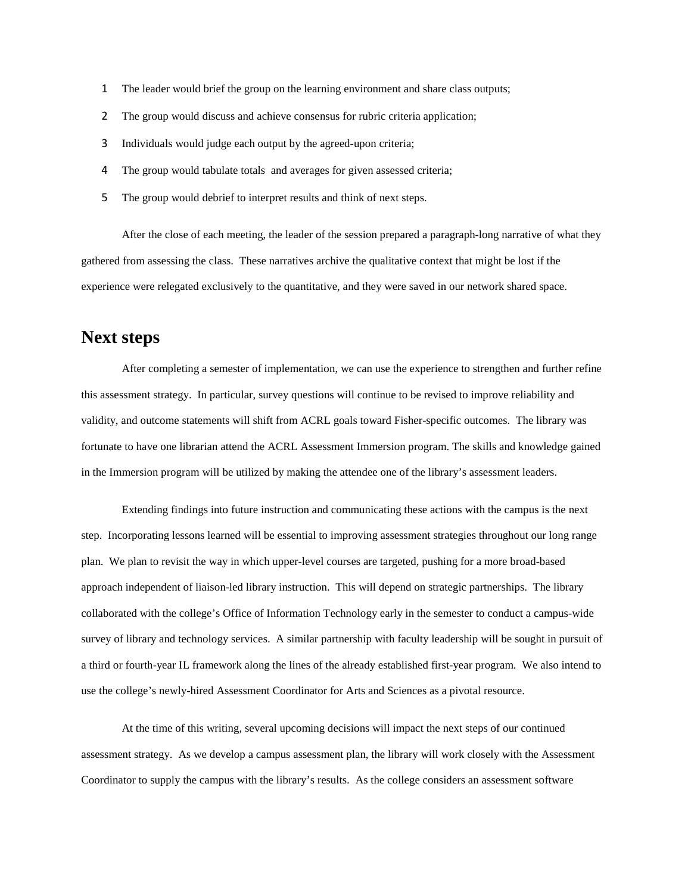- 1 The leader would brief the group on the learning environment and share class outputs;
- 2 The group would discuss and achieve consensus for rubric criteria application;
- 3 Individuals would judge each output by the agreed-upon criteria;
- 4 The group would tabulate totals and averages for given assessed criteria;
- 5 The group would debrief to interpret results and think of next steps.

After the close of each meeting, the leader of the session prepared a paragraph-long narrative of what they gathered from assessing the class. These narratives archive the qualitative context that might be lost if the experience were relegated exclusively to the quantitative, and they were saved in our network shared space.

## **Next steps**

After completing a semester of implementation, we can use the experience to strengthen and further refine this assessment strategy. In particular, survey questions will continue to be revised to improve reliability and validity, and outcome statements will shift from ACRL goals toward Fisher-specific outcomes. The library was fortunate to have one librarian attend the ACRL Assessment Immersion program. The skills and knowledge gained in the Immersion program will be utilized by making the attendee one of the library's assessment leaders.

Extending findings into future instruction and communicating these actions with the campus is the next step. Incorporating lessons learned will be essential to improving assessment strategies throughout our long range plan. We plan to revisit the way in which upper-level courses are targeted, pushing for a more broad-based approach independent of liaison-led library instruction. This will depend on strategic partnerships. The library collaborated with the college's Office of Information Technology early in the semester to conduct a campus-wide survey of library and technology services. A similar partnership with faculty leadership will be sought in pursuit of a third or fourth-year IL framework along the lines of the already established first-year program. We also intend to use the college's newly-hired Assessment Coordinator for Arts and Sciences as a pivotal resource.

At the time of this writing, several upcoming decisions will impact the next steps of our continued assessment strategy. As we develop a campus assessment plan, the library will work closely with the Assessment Coordinator to supply the campus with the library's results. As the college considers an assessment software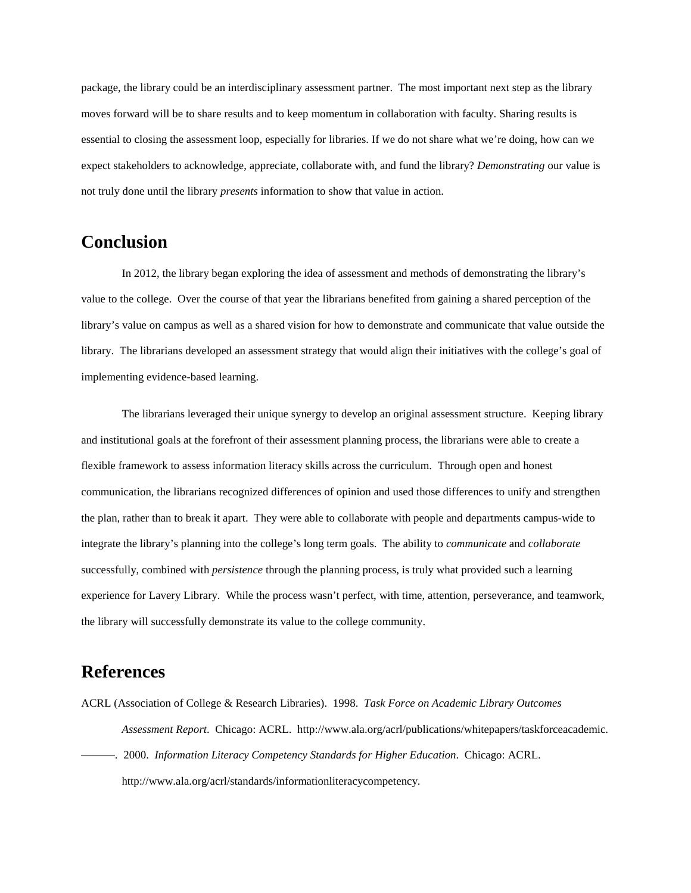package, the library could be an interdisciplinary assessment partner. The most important next step as the library moves forward will be to share results and to keep momentum in collaboration with faculty. Sharing results is essential to closing the assessment loop, especially for libraries. If we do not share what we're doing, how can we expect stakeholders to acknowledge, appreciate, collaborate with, and fund the library? *Demonstrating* our value is not truly done until the library *presents* information to show that value in action.

## **Conclusion**

In 2012, the library began exploring the idea of assessment and methods of demonstrating the library's value to the college. Over the course of that year the librarians benefited from gaining a shared perception of the library's value on campus as well as a shared vision for how to demonstrate and communicate that value outside the library. The librarians developed an assessment strategy that would align their initiatives with the college's goal of implementing evidence-based learning.

The librarians leveraged their unique synergy to develop an original assessment structure. Keeping library and institutional goals at the forefront of their assessment planning process, the librarians were able to create a flexible framework to assess information literacy skills across the curriculum. Through open and honest communication, the librarians recognized differences of opinion and used those differences to unify and strengthen the plan, rather than to break it apart. They were able to collaborate with people and departments campus-wide to integrate the library's planning into the college's long term goals. The ability to *communicate* and *collaborate*  successfully, combined with *persistence* through the planning process, is truly what provided such a learning experience for Lavery Library. While the process wasn't perfect, with time, attention, perseverance, and teamwork, the library will successfully demonstrate its value to the college community.

## **References**

ACRL (Association of College & Research Libraries). 1998. *Task Force on Academic Library Outcomes Assessment Report*. Chicago: ACRL. http://www.ala.org/acrl/publications/whitepapers/taskforceacademic. ———. 2000. *Information Literacy Competency Standards for Higher Education*. Chicago: ACRL. http://www.ala.org/acrl/standards/informationliteracycompetency.